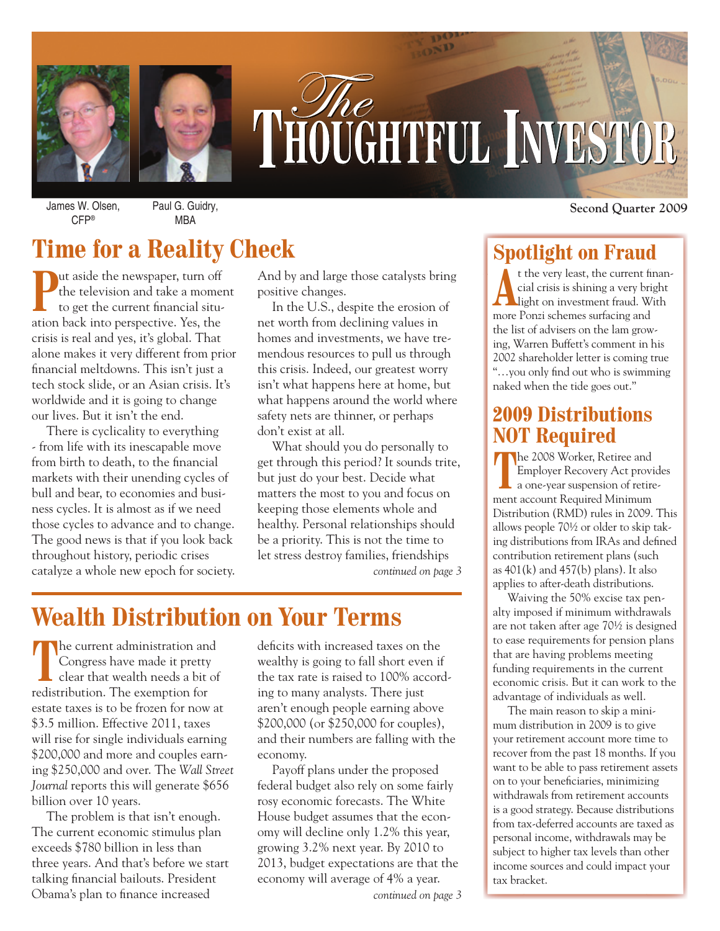

# THOUGHTFUL INVESTOR

James W. Olsen, CFP®

Paul G. Guidry, MBA

# **Time for a Reality Check**

**Put aside the newspaper, turn off**<br>the television and take a moment to get the current financial situthe television and take a moment to get the current financial situation back into perspective. Yes, the crisis is real and yes, it's global. That alone makes it very different from prior financial meltdowns. This isn't just a tech stock slide, or an Asian crisis. It's worldwide and it is going to change our lives. But it isn't the end.

There is cyclicality to everything - from life with its inescapable move from birth to death, to the financial markets with their unending cycles of bull and bear, to economies and business cycles. It is almost as if we need those cycles to advance and to change. The good news is that if you look back throughout history, periodic crises catalyze a whole new epoch for society.

And by and large those catalysts bring positive changes.

In the U.S., despite the erosion of net worth from declining values in homes and investments, we have tremendous resources to pull us through this crisis. Indeed, our greatest worry isn't what happens here at home, but what happens around the world where safety nets are thinner, or perhaps don't exist at all.

What should you do personally to get through this period? It sounds trite, but just do your best. Decide what matters the most to you and focus on keeping those elements whole and healthy. Personal relationships should be a priority. This is not the time to let stress destroy families, friendships *continued on page 3*

## **Wealth Distribution on Your Terms**

The current administration and Congress have made it pretty clear that wealth needs a bit of redistribution. The exemption for estate taxes is to be frozen for now at \$3.5 million. Effective 2011, taxes will rise for single individuals earning \$200,000 and more and couples earning \$250,000 and over. The *Wall Street Journal* reports this will generate \$656 billion over 10 years.

The problem is that isn't enough. The current economic stimulus plan exceeds \$780 billion in less than three years. And that's before we start talking financial bailouts. President Obama's plan to finance increased

deficits with increased taxes on the wealthy is going to fall short even if the tax rate is raised to 100% according to many analysts. There just aren't enough people earning above \$200,000 (or \$250,000 for couples), and their numbers are falling with the economy.

Payoff plans under the proposed federal budget also rely on some fairly rosy economic forecasts. The White House budget assumes that the economy will decline only 1.2% this year, growing 3.2% next year. By 2010 to 2013, budget expectations are that the economy will average of 4% a year.

*continued on page 3*

**Second Quarter 2009**

## **Spotlight on Fraud**

t the very least, the current finan-<br>cial crisis is shining a very bright<br>light on investment fraud. With cial crisis is shining a very bright more Ponzi schemes surfacing and the list of advisers on the lam growing, Warren Buffett's comment in his 2002 shareholder letter is coming true "...you only find out who is swimming naked when the tide goes out."

## **2009 Distributions NOT Required**

**T**he 2008 Worker, Retiree and Employer Recovery Act provides a one-year suspension of retirement account Required Minimum Distribution (RMD) rules in 2009. This allows people 70½ or older to skip taking distributions from IRAs and defined contribution retirement plans (such as  $401(k)$  and  $457(k)$  plans). It also applies to after-death distributions.

Waiving the 50% excise tax penalty imposed if minimum withdrawals are not taken after age 70½ is designed to ease requirements for pension plans that are having problems meeting funding requirements in the current economic crisis. But it can work to the advantage of individuals as well.

The main reason to skip a minimum distribution in 2009 is to give your retirement account more time to recover from the past 18 months. If you want to be able to pass retirement assets on to your beneficiaries, minimizing withdrawals from retirement accounts is a good strategy. Because distributions from tax-deferred accounts are taxed as personal income, withdrawals may be subject to higher tax levels than other income sources and could impact your tax bracket.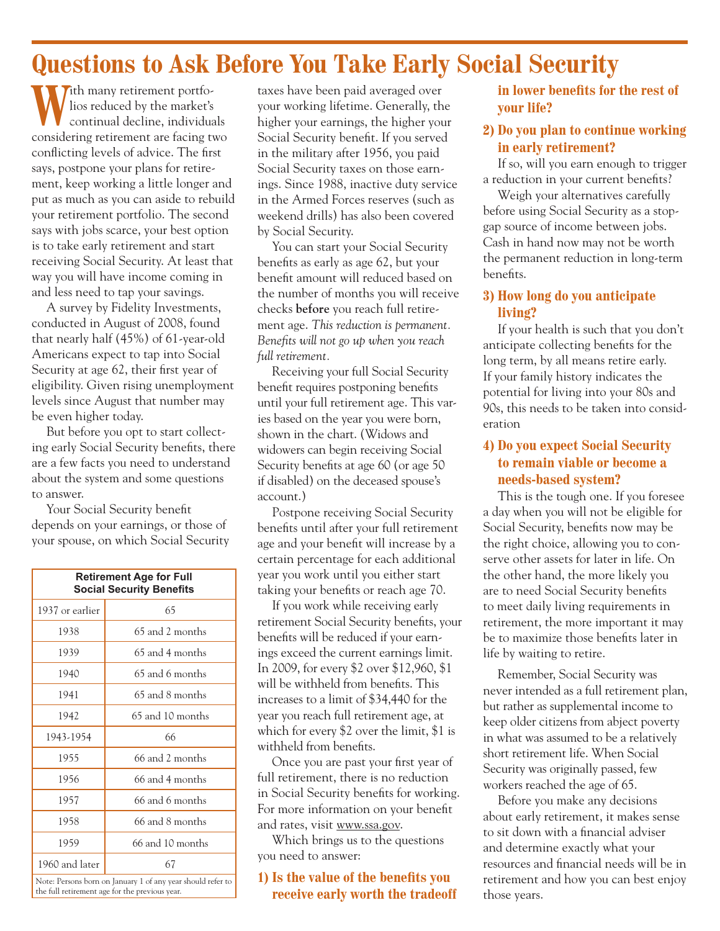## **Questions to Ask Before You Take Early Social Security**

**With many retirement portfo**lios reduced by the market's continual decline, individuals considering retirement are facing two conflicting levels of advice. The first says, postpone your plans for retirement, keep working a little longer and put as much as you can aside to rebuild your retirement portfolio. The second says with jobs scarce, your best option is to take early retirement and start receiving Social Security. At least that way you will have income coming in and less need to tap your savings.

A survey by Fidelity Investments, conducted in August of 2008, found that nearly half (45%) of 61-year-old Americans expect to tap into Social Security at age 62, their first year of eligibility. Given rising unemployment levels since August that number may be even higher today.

But before you opt to start collecting early Social Security benefits, there are a few facts you need to understand about the system and some questions to answer.

Your Social Security benefit depends on your earnings, or those of your spouse, on which Social Security

| <b>Retirement Age for Full</b><br><b>Social Security Benefits</b> |                  |
|-------------------------------------------------------------------|------------------|
| 1937 or earlier                                                   | 65               |
| 1938                                                              | 65 and 2 months  |
| 1939                                                              | 65 and 4 months  |
| 1940                                                              | 65 and 6 months  |
| 1941                                                              | 65 and 8 months  |
| 1942                                                              | 65 and 10 months |
| 1943-1954                                                         | 66               |
| 1955                                                              | 66 and 2 months  |
| 1956                                                              | 66 and 4 months  |
| 1957                                                              | 66 and 6 months  |
| 1958                                                              | 66 and 8 months  |
| 1959                                                              | 66 and 10 months |
| 1960 and later                                                    | 67               |
| Note: Persons born on January 1 of any year should refer to       |                  |

ns born on January 1 of any year the full retirement age for the previous year. taxes have been paid averaged over your working lifetime. Generally, the higher your earnings, the higher your Social Security benefit. If you served in the military after 1956, you paid Social Security taxes on those earnings. Since 1988, inactive duty service in the Armed Forces reserves (such as weekend drills) has also been covered by Social Security.

You can start your Social Security benefits as early as age 62, but your benefit amount will reduced based on the number of months you will receive checks **before** you reach full retirement age. *This reduction is permanent. Benefits will not go up when you reach full retirement.*

Receiving your full Social Security benefit requires postponing benefits until your full retirement age. This varies based on the year you were born, shown in the chart. (Widows and widowers can begin receiving Social Security benefits at age 60 (or age 50) if disabled) on the deceased spouse's account.)

Postpone receiving Social Security benefits until after your full retirement age and your benefit will increase by a certain percentage for each additional year you work until you either start taking your benefits or reach age 70.

If you work while receiving early retirement Social Security benefits, your benefits will be reduced if your earnings exceed the current earnings limit. In 2009, for every \$2 over \$12,960, \$1 will be withheld from benefits. This increases to a limit of \$34,440 for the year you reach full retirement age, at which for every \$2 over the limit, \$1 is withheld from benefits.

Once you are past your first year of full retirement, there is no reduction in Social Security benefits for working. For more information on your benefit and rates, visit www.ssa.gov.

Which brings us to the questions you need to answer:

#### **1)** Is the value of the benefits you **receive early worth the tradeoff**

in lower benefits for the rest of **your life?**

#### **2) Do you plan to continue working in early retirement?**

If so, will you earn enough to trigger a reduction in your current benefits?

Weigh your alternatives carefully before using Social Security as a stopgap source of income between jobs. Cash in hand now may not be worth the permanent reduction in long-term benefits.

#### **3) How long do you anticipate living?**

If your health is such that you don't anticipate collecting benefits for the long term, by all means retire early. If your family history indicates the potential for living into your 80s and 90s, this needs to be taken into consideration

#### **4) Do you expect Social Security to remain viable or become a needs-based system?**

This is the tough one. If you foresee a day when you will not be eligible for Social Security, benefits now may be the right choice, allowing you to conserve other assets for later in life. On the other hand, the more likely you are to need Social Security benefits to meet daily living requirements in retirement, the more important it may be to maximize those benefits later in life by waiting to retire.

Remember, Social Security was never intended as a full retirement plan, but rather as supplemental income to keep older citizens from abject poverty in what was assumed to be a relatively short retirement life. When Social Security was originally passed, few workers reached the age of 65.

Before you make any decisions about early retirement, it makes sense to sit down with a financial adviser and determine exactly what your resources and financial needs will be in retirement and how you can best enjoy those years.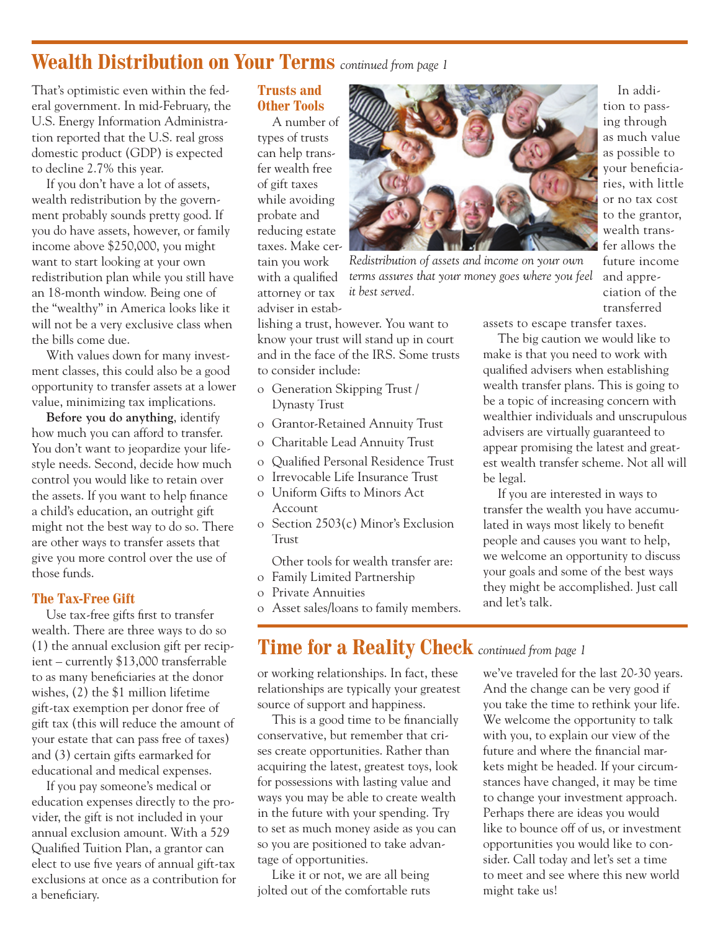## **Wealth Distribution on Your Terms** *continued from page 1*

That's optimistic even within the federal government. In mid-February, the U.S. Energy Information Administration reported that the U.S. real gross domestic product (GDP) is expected to decline 2.7% this year.

If you don't have a lot of assets, wealth redistribution by the government probably sounds pretty good. If you do have assets, however, or family income above \$250,000, you might want to start looking at your own redistribution plan while you still have an 18-month window. Being one of the "wealthy" in America looks like it will not be a very exclusive class when the bills come due.

With values down for many investment classes, this could also be a good opportunity to transfer assets at a lower value, minimizing tax implications.

**Before you do anything**, identify how much you can afford to transfer. You don't want to jeopardize your lifestyle needs. Second, decide how much control you would like to retain over the assets. If you want to help finance a child's education, an outright gift might not the best way to do so. There are other ways to transfer assets that give you more control over the use of those funds.

#### **The Tax-Free Gift**

Use tax-free gifts first to transfer wealth. There are three ways to do so (1) the annual exclusion gift per recipient – currently \$13,000 transferrable to as many beneficiaries at the donor wishes, (2) the \$1 million lifetime gift-tax exemption per donor free of gift tax (this will reduce the amount of your estate that can pass free of taxes) and (3) certain gifts earmarked for educational and medical expenses.

If you pay someone's medical or education expenses directly to the provider, the gift is not included in your annual exclusion amount. With a 529 Qualified Tuition Plan, a grantor can elect to use five years of annual gift-tax exclusions at once as a contribution for a beneficiary.

#### **Trusts and Other Tools**

A number of types of trusts can help transfer wealth free of gift taxes while avoiding probate and reducing estate taxes. Make certain you work with a qualified attorney or tax adviser in estab-



*Redistribution of assets and income on your own terms assures that your money goes where you feel it best served.*

lishing a trust, however. You want to know your trust will stand up in court and in the face of the IRS. Some trusts to consider include:

- o Generation Skipping Trust / Dynasty Trust
- o Grantor-Retained Annuity Trust
- o Charitable Lead Annuity Trust
- o Qualified Personal Residence Trust
- o Irrevocable Life Insurance Trust
- o Uniform Gifts to Minors Act Account
- o Section 2503(c) Minor's Exclusion Trust
- Other tools for wealth transfer are: o Family Limited Partnership
- o Private Annuities
- o Asset sales/loans to family members.

### **Time for a Reality Check** *continued from page 1*

or working relationships. In fact, these relationships are typically your greatest source of support and happiness.

This is a good time to be financially conservative, but remember that crises create opportunities. Rather than acquiring the latest, greatest toys, look for possessions with lasting value and ways you may be able to create wealth in the future with your spending. Try to set as much money aside as you can so you are positioned to take advantage of opportunities.

Like it or not, we are all being jolted out of the comfortable ruts

In addition to passing through as much value as possible to your beneficiaries, with little or no tax cost to the grantor, wealth transfer allows the future income and appreciation of the transferred

assets to escape transfer taxes.

The big caution we would like to make is that you need to work with qualified advisers when establishing wealth transfer plans. This is going to be a topic of increasing concern with wealthier individuals and unscrupulous advisers are virtually guaranteed to appear promising the latest and greatest wealth transfer scheme. Not all will be legal.

If you are interested in ways to transfer the wealth you have accumulated in ways most likely to benefit people and causes you want to help, we welcome an opportunity to discuss your goals and some of the best ways they might be accomplished. Just call and let's talk.

we've traveled for the last 20-30 years. And the change can be very good if you take the time to rethink your life. We welcome the opportunity to talk with you, to explain our view of the future and where the financial markets might be headed. If your circumstances have changed, it may be time to change your investment approach. Perhaps there are ideas you would like to bounce off of us, or investment opportunities you would like to consider. Call today and let's set a time to meet and see where this new world might take us!